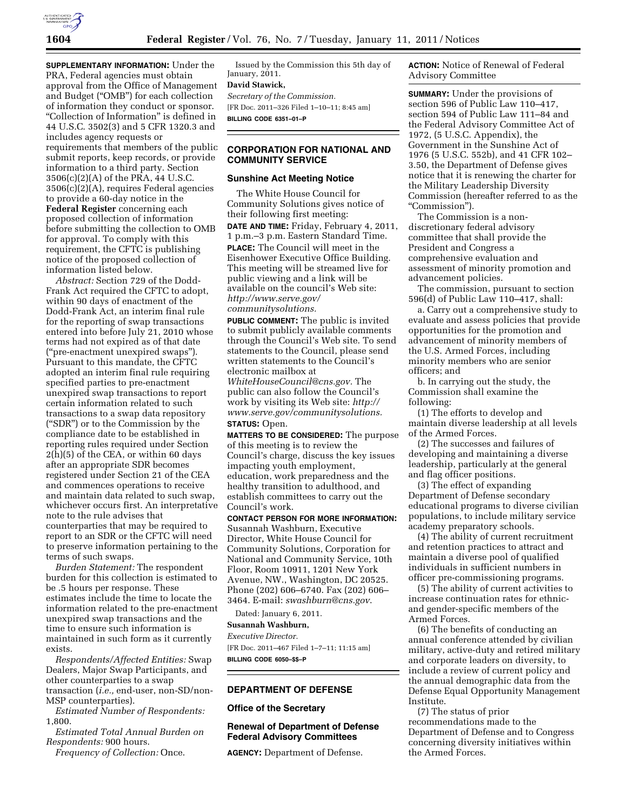

**SUPPLEMENTARY INFORMATION:** Under the PRA, Federal agencies must obtain approval from the Office of Management and Budget (''OMB'') for each collection of information they conduct or sponsor. ''Collection of Information'' is defined in 44 U.S.C. 3502(3) and 5 CFR 1320.3 and includes agency requests or requirements that members of the public submit reports, keep records, or provide information to a third party. Section 3506(c)(2)(A) of the PRA, 44 U.S.C. 3506(c)(2)(A), requires Federal agencies to provide a 60-day notice in the **Federal Register** concerning each proposed collection of information before submitting the collection to OMB for approval. To comply with this requirement, the CFTC is publishing notice of the proposed collection of information listed below.

*Abstract:* Section 729 of the Dodd-Frank Act required the CFTC to adopt, within 90 days of enactment of the Dodd-Frank Act, an interim final rule for the reporting of swap transactions entered into before July 21, 2010 whose terms had not expired as of that date (''pre-enactment unexpired swaps''). Pursuant to this mandate, the CFTC adopted an interim final rule requiring specified parties to pre-enactment unexpired swap transactions to report certain information related to such transactions to a swap data repository (''SDR'') or to the Commission by the compliance date to be established in reporting rules required under Section  $2(\dot{h})$ (5) of the CEA, or within 60 days after an appropriate SDR becomes registered under Section 21 of the CEA and commences operations to receive and maintain data related to such swap, whichever occurs first. An interpretative note to the rule advises that counterparties that may be required to report to an SDR or the CFTC will need to preserve information pertaining to the terms of such swaps.

*Burden Statement:* The respondent burden for this collection is estimated to be .5 hours per response. These estimates include the time to locate the information related to the pre-enactment unexpired swap transactions and the time to ensure such information is maintained in such form as it currently exists.

*Respondents/Affected Entities:* Swap Dealers, Major Swap Participants, and other counterparties to a swap transaction (*i.e.,* end-user, non-SD/non-MSP counterparties).

*Estimated Number of Respondents:*  1,800.

*Estimated Total Annual Burden on Respondents:* 900 hours.

*Frequency of Collection:* Once.

Issued by the Commission this 5th day of January, 2011.

# **David Stawick,**

*Secretary of the Commission.*  [FR Doc. 2011–326 Filed 1–10–11; 8:45 am] **BILLING CODE 6351–01–P** 

## **CORPORATION FOR NATIONAL AND COMMUNITY SERVICE**

# **Sunshine Act Meeting Notice**

The White House Council for Community Solutions gives notice of their following first meeting:

**DATE AND TIME:** Friday, February 4, 2011, 1 p.m.–3 p.m. Eastern Standard Time. **PLACE:** The Council will meet in the Eisenhower Executive Office Building. This meeting will be streamed live for public viewing and a link will be available on the council's Web site: *[http://www.serve.gov/](http://www.serve.gov/communitysolutions)  [communitysolutions.](http://www.serve.gov/communitysolutions)* 

**PUBLIC COMMENT:** The public is invited to submit publicly available comments through the Council's Web site. To send statements to the Council, please send written statements to the Council's electronic mailbox at *[WhiteHouseCouncil@cns.gov.](mailto:WhiteHouseCouncil@cns.gov)* The public can also follow the Council's work by visiting its Web site: *[http://](http://www.serve.gov/communitysolutions)  [www.serve.gov/communitysolutions.](http://www.serve.gov/communitysolutions)* 

#### **STATUS:** Open.

**MATTERS TO BE CONSIDERED:** The purpose of this meeting is to review the Council's charge, discuss the key issues impacting youth employment, education, work preparedness and the healthy transition to adulthood, and establish committees to carry out the Council's work.

**CONTACT PERSON FOR MORE INFORMATION:**  Susannah Washburn, Executive Director, White House Council for Community Solutions, Corporation for National and Community Service, 10th Floor, Room 10911, 1201 New York Avenue, NW., Washington, DC 20525. Phone (202) 606–6740. Fax (202) 606– 3464. E-mail: *[swashburn@cns.gov](mailto:swashburn@cns.gov)*.

Dated: January 6, 2011.

#### **Susannah Washburn,**

#### *Executive Director.*

[FR Doc. 2011–467 Filed 1–7–11; 11:15 am] **BILLING CODE 6050–\$\$–P** 

## **DEPARTMENT OF DEFENSE**

#### **Office of the Secretary**

# **Renewal of Department of Defense Federal Advisory Committees**

**AGENCY:** Department of Defense.

**ACTION:** Notice of Renewal of Federal Advisory Committee

**SUMMARY:** Under the provisions of section 596 of Public Law 110–417, section 594 of Public Law 111–84 and the Federal Advisory Committee Act of 1972, (5 U.S.C. Appendix), the Government in the Sunshine Act of 1976 (5 U.S.C. 552b), and 41 CFR 102– 3.50, the Department of Defense gives notice that it is renewing the charter for the Military Leadership Diversity Commission (hereafter referred to as the "Commission").

The Commission is a nondiscretionary federal advisory committee that shall provide the President and Congress a comprehensive evaluation and assessment of minority promotion and advancement policies.

The commission, pursuant to section 596(d) of Public Law 110–417, shall:

a. Carry out a comprehensive study to evaluate and assess policies that provide opportunities for the promotion and advancement of minority members of the U.S. Armed Forces, including minority members who are senior officers; and

b. In carrying out the study, the Commission shall examine the following:

(1) The efforts to develop and maintain diverse leadership at all levels of the Armed Forces.

(2) The successes and failures of developing and maintaining a diverse leadership, particularly at the general and flag officer positions.

(3) The effect of expanding Department of Defense secondary educational programs to diverse civilian populations, to include military service academy preparatory schools.

(4) The ability of current recruitment and retention practices to attract and maintain a diverse pool of qualified individuals in sufficient numbers in officer pre-commissioning programs.

(5) The ability of current activities to increase continuation rates for ethnicand gender-specific members of the Armed Forces.

(6) The benefits of conducting an annual conference attended by civilian military, active-duty and retired military and corporate leaders on diversity, to include a review of current policy and the annual demographic data from the Defense Equal Opportunity Management Institute.

(7) The status of prior recommendations made to the Department of Defense and to Congress concerning diversity initiatives within the Armed Forces.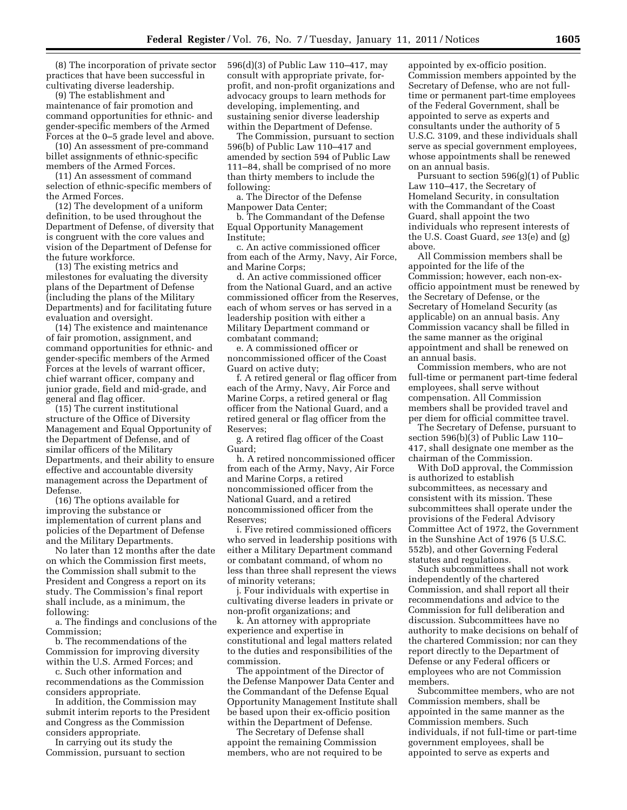(8) The incorporation of private sector practices that have been successful in cultivating diverse leadership.

(9) The establishment and maintenance of fair promotion and command opportunities for ethnic- and gender-specific members of the Armed Forces at the 0–5 grade level and above.

(10) An assessment of pre-command billet assignments of ethnic-specific members of the Armed Forces.

(11) An assessment of command selection of ethnic-specific members of the Armed Forces.

(12) The development of a uniform definition, to be used throughout the Department of Defense, of diversity that is congruent with the core values and vision of the Department of Defense for the future workforce.

(13) The existing metrics and milestones for evaluating the diversity plans of the Department of Defense (including the plans of the Military Departments) and for facilitating future evaluation and oversight.

(14) The existence and maintenance of fair promotion, assignment, and command opportunities for ethnic- and gender-specific members of the Armed Forces at the levels of warrant officer, chief warrant officer, company and junior grade, field and mid-grade, and general and flag officer.

(15) The current institutional structure of the Office of Diversity Management and Equal Opportunity of the Department of Defense, and of similar officers of the Military Departments, and their ability to ensure effective and accountable diversity management across the Department of Defense.

(16) The options available for improving the substance or implementation of current plans and policies of the Department of Defense and the Military Departments.

No later than 12 months after the date on which the Commission first meets, the Commission shall submit to the President and Congress a report on its study. The Commission's final report shall include, as a minimum, the following:

a. The findings and conclusions of the Commission;

b. The recommendations of the Commission for improving diversity within the U.S. Armed Forces; and

c. Such other information and recommendations as the Commission considers appropriate.

In addition, the Commission may submit interim reports to the President and Congress as the Commission considers appropriate.

In carrying out its study the Commission, pursuant to section 596(d)(3) of Public Law 110–417, may consult with appropriate private, forprofit, and non-profit organizations and advocacy groups to learn methods for developing, implementing, and sustaining senior diverse leadership within the Department of Defense.

The Commission, pursuant to section 596(b) of Public Law 110–417 and amended by section 594 of Public Law 111–84, shall be comprised of no more than thirty members to include the following:

a. The Director of the Defense Manpower Data Center;

b. The Commandant of the Defense Equal Opportunity Management Institute;

c. An active commissioned officer from each of the Army, Navy, Air Force, and Marine Corps;

d. An active commissioned officer from the National Guard, and an active commissioned officer from the Reserves, each of whom serves or has served in a leadership position with either a Military Department command or combatant command;

e. A commissioned officer or noncommissioned officer of the Coast Guard on active duty;

f. A retired general or flag officer from each of the Army, Navy, Air Force and Marine Corps, a retired general or flag officer from the National Guard, and a retired general or flag officer from the Reserves;

g. A retired flag officer of the Coast Guard;

h. A retired noncommissioned officer from each of the Army, Navy, Air Force and Marine Corps, a retired noncommissioned officer from the National Guard, and a retired noncommissioned officer from the Reserves;

i. Five retired commissioned officers who served in leadership positions with either a Military Department command or combatant command, of whom no less than three shall represent the views of minority veterans;

j. Four individuals with expertise in cultivating diverse leaders in private or non-profit organizations; and

k. An attorney with appropriate experience and expertise in constitutional and legal matters related to the duties and responsibilities of the commission.

The appointment of the Director of the Defense Manpower Data Center and the Commandant of the Defense Equal Opportunity Management Institute shall be based upon their ex-officio position within the Department of Defense.

The Secretary of Defense shall appoint the remaining Commission members, who are not required to be appointed by ex-officio position. Commission members appointed by the Secretary of Defense, who are not fulltime or permanent part-time employees of the Federal Government, shall be appointed to serve as experts and consultants under the authority of 5 U.S.C. 3109, and these individuals shall serve as special government employees, whose appointments shall be renewed on an annual basis.

Pursuant to section 596(g)(1) of Public Law 110–417, the Secretary of Homeland Security, in consultation with the Commandant of the Coast Guard, shall appoint the two individuals who represent interests of the U.S. Coast Guard, *see* 13(e) and (g) above.

All Commission members shall be appointed for the life of the Commission; however, each non-exofficio appointment must be renewed by the Secretary of Defense, or the Secretary of Homeland Security (as applicable) on an annual basis. Any Commission vacancy shall be filled in the same manner as the original appointment and shall be renewed on an annual basis.

Commission members, who are not full-time or permanent part-time federal employees, shall serve without compensation. All Commission members shall be provided travel and per diem for official committee travel.

The Secretary of Defense, pursuant to section 596(b)(3) of Public Law 110– 417, shall designate one member as the chairman of the Commission.

With DoD approval, the Commission is authorized to establish subcommittees, as necessary and consistent with its mission. These subcommittees shall operate under the provisions of the Federal Advisory Committee Act of 1972, the Government in the Sunshine Act of 1976 (5 U.S.C. 552b), and other Governing Federal statutes and regulations.

Such subcommittees shall not work independently of the chartered Commission, and shall report all their recommendations and advice to the Commission for full deliberation and discussion. Subcommittees have no authority to make decisions on behalf of the chartered Commission; nor can they report directly to the Department of Defense or any Federal officers or employees who are not Commission members.

Subcommittee members, who are not Commission members, shall be appointed in the same manner as the Commission members. Such individuals, if not full-time or part-time government employees, shall be appointed to serve as experts and